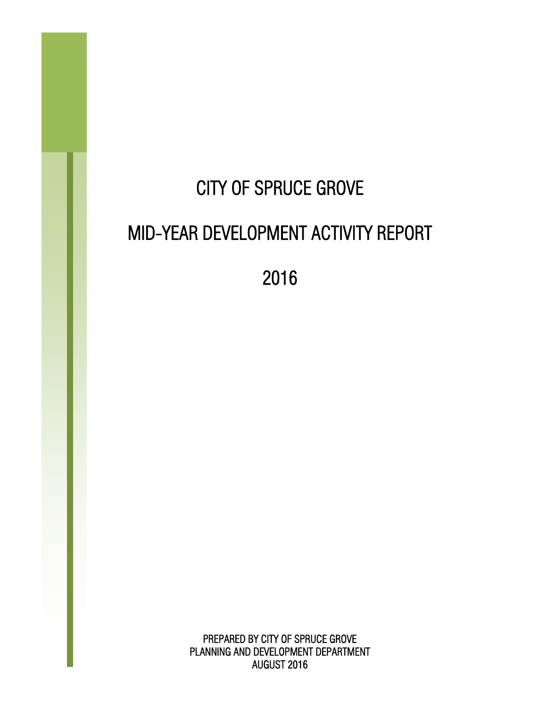# CITY OF SPRUCE GROVE MID-YEAR DEVELOPMENT ACTIVITY REPORT

2016

PREPARED BY CITY OF SPRUCE GROVE PLANNING AND DEVELOPMENT DEPARTMENT AUGUST 2016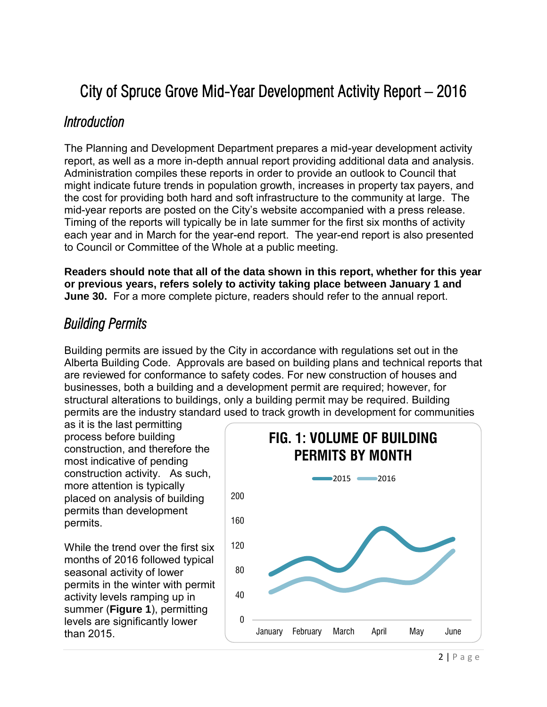## City of Spruce Grove Mid-Year Development Activity Report – 2016

### *Introduction*

The Planning and Development Department prepares a mid-year development activity report, as well as a more in-depth annual report providing additional data and analysis. Administration compiles these reports in order to provide an outlook to Council that might indicate future trends in population growth, increases in property tax payers, and the cost for providing both hard and soft infrastructure to the community at large. The mid-year reports are posted on the City's website accompanied with a press release. Timing of the reports will typically be in late summer for the first six months of activity each year and in March for the year-end report. The year-end report is also presented to Council or Committee of the Whole at a public meeting.

**Readers should note that all of the data shown in this report, whether for this year or previous years, refers solely to activity taking place between January 1 and June 30.** For a more complete picture, readers should refer to the annual report.

## *Building Permits*

Building permits are issued by the City in accordance with regulations set out in the Alberta Building Code. Approvals are based on building plans and technical reports that are reviewed for conformance to safety codes. For new construction of houses and businesses, both a building and a development permit are required; however, for structural alterations to buildings, only a building permit may be required. Building permits are the industry standard used to track growth in development for communities

as it is the last permitting process before building construction, and therefore the most indicative of pending construction activity. As such, more attention is typically placed on analysis of building permits than development permits.

While the trend over the first six months of 2016 followed typical seasonal activity of lower permits in the winter with permit activity levels ramping up in summer (**Figure 1**), permitting levels are significantly lower than 2015.

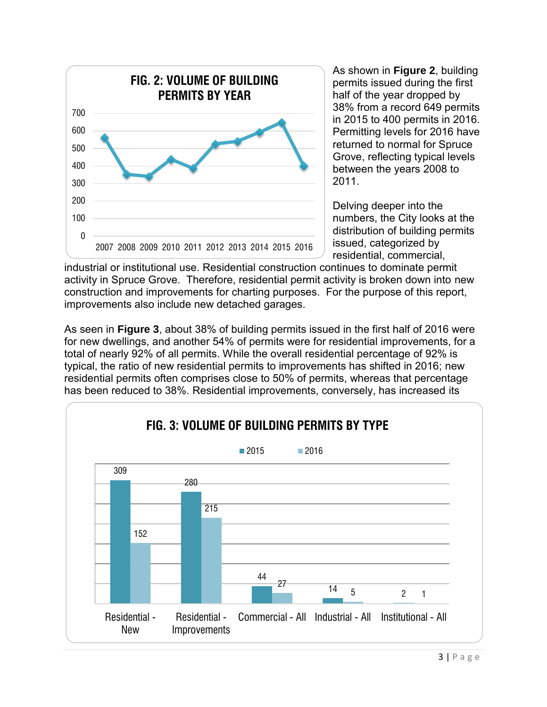

As shown in **Figure 2**, building permits issued during the first half of the year dropped by 38% from a record 649 permits in 2015 to 400 permits in 2016. Permitting levels for 2016 have returned to normal for Spruce Grove, reflecting typical levels between the years 2008 to 2011.

Delving deeper into the numbers, the City looks at the distribution of building permits issued, categorized by residential, commercial,

industrial or institutional use. Residential construction continues to dominate permit activity in Spruce Grove. Therefore, residential permit activity is broken down into new construction and improvements for charting purposes. For the purpose of this report, improvements also include new detached garages.

As seen in **Figure 3**, about 38% of building permits issued in the first half of 2016 were for new dwellings, and another 54% of permits were for residential improvements, for a total of nearly 92% of all permits. While the overall residential percentage of 92% is typical, the ratio of new residential permits to improvements has shifted in 2016; new residential permits often comprises close to 50% of permits, whereas that percentage has been reduced to 38%. Residential improvements, conversely, has increased its

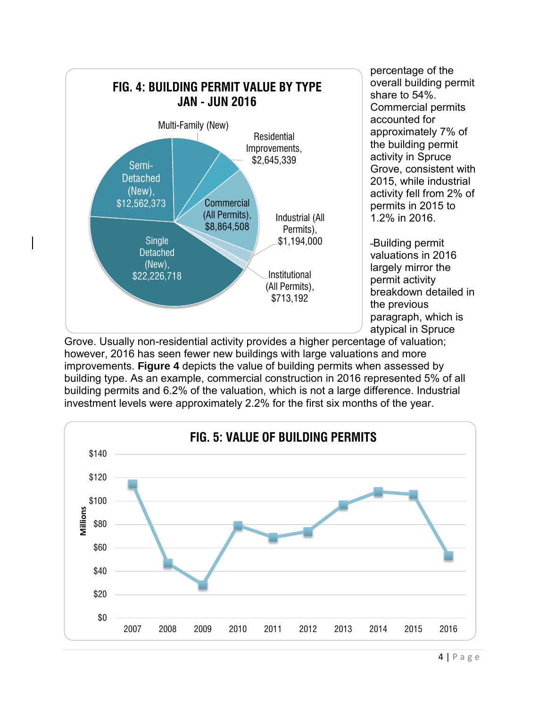

percentage of the overall building permit share to 54%. Commercial permits accounted for approximately 7% of the building permit activity in Spruce Grove, consistent with 2015, while industrial activity fell from 2% of permits in 2015 to 1.2% in 2016.

Building permit valuations in 2016 largely mirror the permit activity breakdown detailed in the previous paragraph, which is atypical in Spruce

Grove. Usually non-residential activity provides a higher percentage of valuation; however, 2016 has seen fewer new buildings with large valuations and more improvements. **Figure 4** depicts the value of building permits when assessed by building type. As an example, commercial construction in 2016 represented 5% of all building permits and 6.2% of the valuation, which is not a large difference. Industrial investment levels were approximately 2.2% for the first six months of the year.

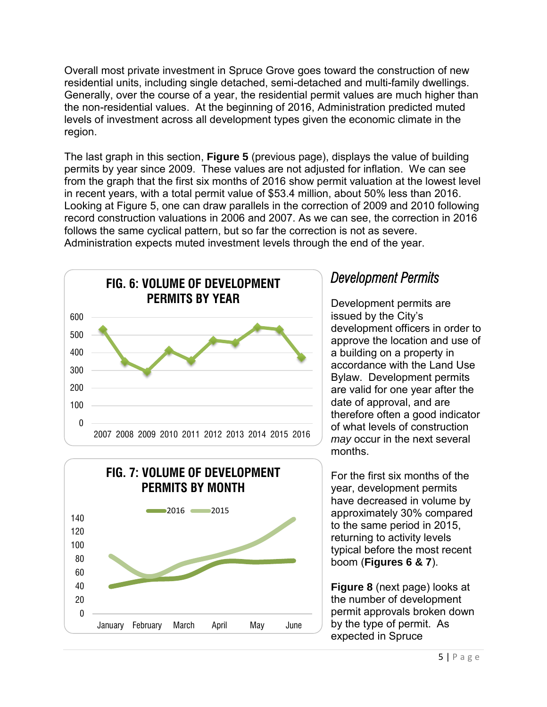Overall most private investment in Spruce Grove goes toward the construction of new residential units, including single detached, semi-detached and multi-family dwellings. Generally, over the course of a year, the residential permit values are much higher than the non-residential values. At the beginning of 2016, Administration predicted muted levels of investment across all development types given the economic climate in the region.

The last graph in this section, **Figure 5** (previous page), displays the value of building permits by year since 2009. These values are not adjusted for inflation. We can see from the graph that the first six months of 2016 show permit valuation at the lowest level in recent years, with a total permit value of \$53.4 million, about 50% less than 2016. Looking at Figure 5, one can draw parallels in the correction of 2009 and 2010 following record construction valuations in 2006 and 2007. As we can see, the correction in 2016 follows the same cyclical pattern, but so far the correction is not as severe. Administration expects muted investment levels through the end of the year.





## *Development Permits*

Development permits are issued by the City's development officers in order to approve the location and use of a building on a property in accordance with the Land Use Bylaw. Development permits are valid for one year after the date of approval, and are therefore often a good indicator of what levels of construction *may* occur in the next several months.

For the first six months of the year, development permits have decreased in volume by approximately 30% compared to the same period in 2015, returning to activity levels typical before the most recent boom (**Figures 6 & 7**).

**Figure 8** (next page) looks at the number of development permit approvals broken down by the type of permit. As expected in Spruce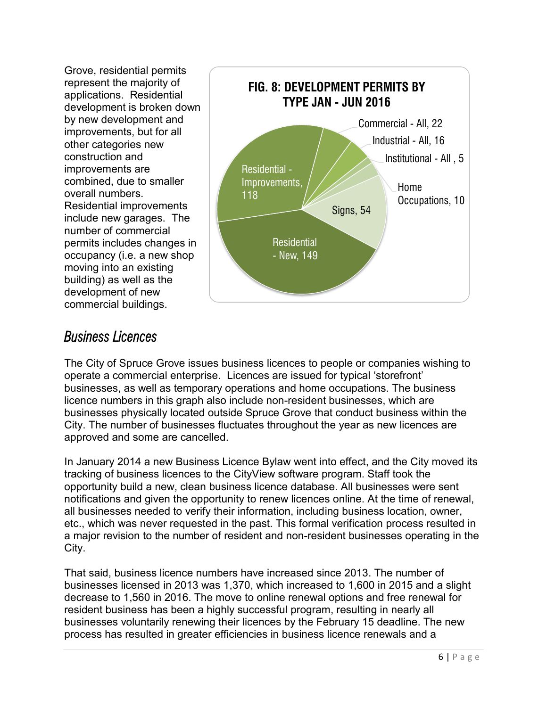Grove, residential permits represent the majority of applications. Residential development is broken down by new development and improvements, but for all other categories new construction and improvements are combined, due to smaller overall numbers. Residential improvements include new garages. The number of commercial permits includes changes in occupancy (i.e. a new shop moving into an existing building) as well as the development of new commercial buildings.



## *Business Licences*

The City of Spruce Grove issues business licences to people or companies wishing to operate a commercial enterprise. Licences are issued for typical 'storefront' businesses, as well as temporary operations and home occupations. The business licence numbers in this graph also include non-resident businesses, which are businesses physically located outside Spruce Grove that conduct business within the City. The number of businesses fluctuates throughout the year as new licences are approved and some are cancelled.

In January 2014 a new Business Licence Bylaw went into effect, and the City moved its tracking of business licences to the CityView software program. Staff took the opportunity build a new, clean business licence database. All businesses were sent notifications and given the opportunity to renew licences online. At the time of renewal, all businesses needed to verify their information, including business location, owner, etc., which was never requested in the past. This formal verification process resulted in a major revision to the number of resident and non-resident businesses operating in the City.

That said, business licence numbers have increased since 2013. The number of businesses licensed in 2013 was 1,370, which increased to 1,600 in 2015 and a slight decrease to 1,560 in 2016. The move to online renewal options and free renewal for resident business has been a highly successful program, resulting in nearly all businesses voluntarily renewing their licences by the February 15 deadline. The new process has resulted in greater efficiencies in business licence renewals and a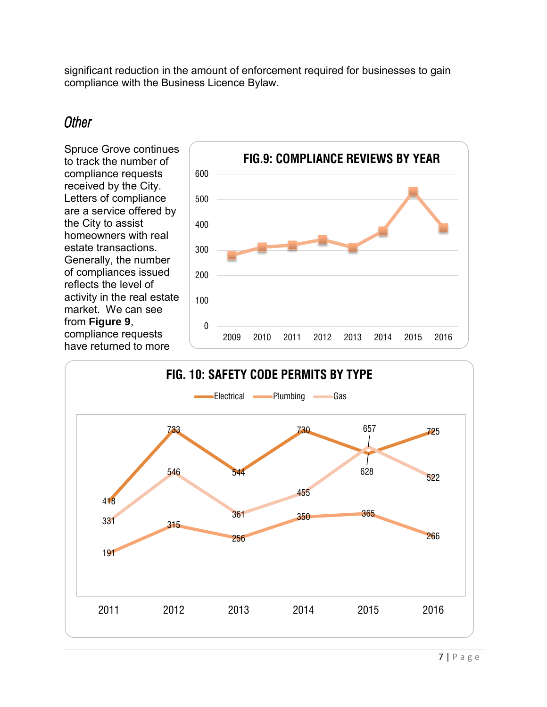significant reduction in the amount of enforcement required for businesses to gain compliance with the Business Licence Bylaw.

### *Other*

Spruce Grove continues to track the number of compliance requests received by the City. Letters of compliance are a service offered by the City to assist homeowners with real estate transactions. Generally, the number of compliances issued reflects the level of activity in the real estate market. We can see from **Figure 9**, compliance requests have returned to more